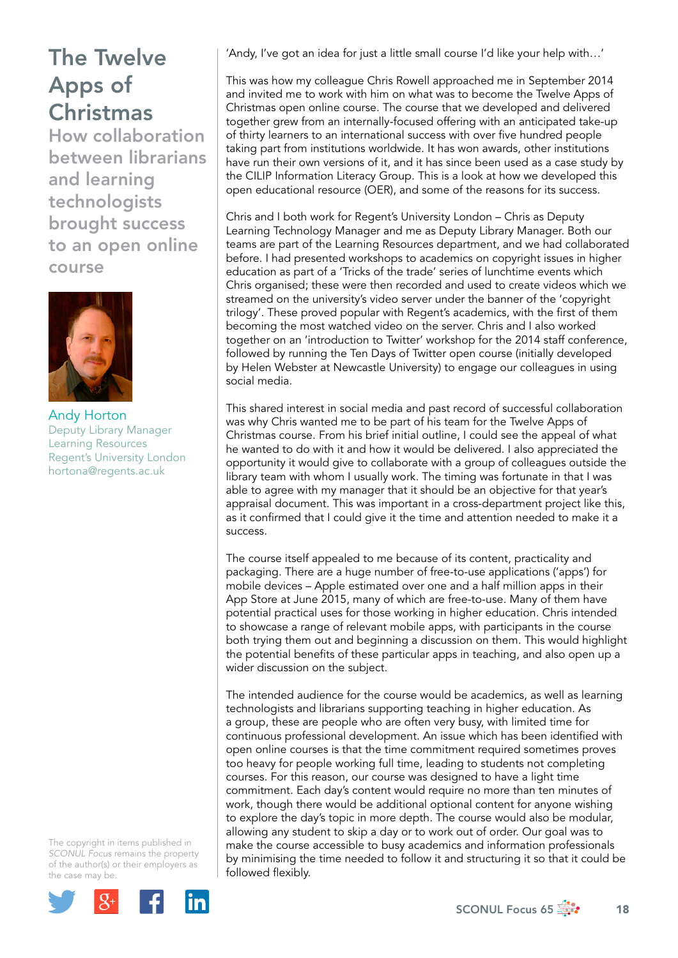How collaboration between librarians and learning technologists brought success to an open online course



Andy Horton Deputy Library Manager Learning Resources Regent's University London [hortona@regents.ac.uk](mailto:hortona@regents.ac.uk) 

The copyright in items published in *SCONUL Focus* remains the property of the author(s) or their employers as the case may be.



'Andy, I've got an idea for just a little small course I'd like your help with…'

This was how my colleague Chris Rowell approached me in September 2014 and invited me to work with him on what was to become the Twelve Apps of Christmas open online course. The course that we developed and delivered together grew from an internally-focused offering with an anticipated take-up of thirty learners to an international success with over five hundred people taking part from institutions worldwide. It has won awards, other institutions have run their own versions of it, and it has since been used as a case study by the CILIP Information Literacy Group. This is a look at how we developed this open educational resource (OER), and some of the reasons for its success.

Chris and I both work for Regent's University London – Chris as Deputy Learning Technology Manager and me as Deputy Library Manager. Both our teams are part of the Learning Resources department, and we had collaborated before. I had presented workshops to academics on copyright issues in higher education as part of a 'Tricks of the trade' series of lunchtime events which Chris organised; these were then recorded and used to create videos which we streamed on the university's video server under the banner of the 'copyright trilogy'. These proved popular with Regent's academics, with the first of them becoming the most watched video on the server. Chris and I also worked together on an 'introduction to Twitter' workshop for the 2014 staff conference, followed by running the Ten Days of Twitter open course (initially developed by Helen Webster at Newcastle University) to engage our colleagues in using social media.

This shared interest in social media and past record of successful collaboration was why Chris wanted me to be part of his team for the Twelve Apps of Christmas course. From his brief initial outline, I could see the appeal of what he wanted to do with it and how it would be delivered. I also appreciated the opportunity it would give to collaborate with a group of colleagues outside the library team with whom I usually work. The timing was fortunate in that I was able to agree with my manager that it should be an objective for that year's appraisal document. This was important in a cross-department project like this, as it confirmed that I could give it the time and attention needed to make it a success.

The course itself appealed to me because of its content, practicality and packaging. There are a huge number of free-to-use applications ('apps') for mobile devices – Apple estimated over one and a half million apps in their App Store at June 2015, many of which are free-to-use. Many of them have potential practical uses for those working in higher education. Chris intended to showcase a range of relevant mobile apps, with participants in the course both trying them out and beginning a discussion on them. This would highlight the potential benefits of these particular apps in teaching, and also open up a wider discussion on the subject.

The intended audience for the course would be academics, as well as learning technologists and librarians supporting teaching in higher education. As a group, these are people who are often very busy, with limited time for continuous professional development. An issue which has been identified with open online courses is that the time commitment required sometimes proves too heavy for people working full time, leading to students not completing courses. For this reason, our course was designed to have a light time commitment. Each day's content would require no more than ten minutes of work, though there would be additional optional content for anyone wishing to explore the day's topic in more depth. The course would also be modular, allowing any student to skip a day or to work out of order. Our goal was to make the course accessible to busy academics and information professionals by minimising the time needed to follow it and structuring it so that it could be followed flexibly.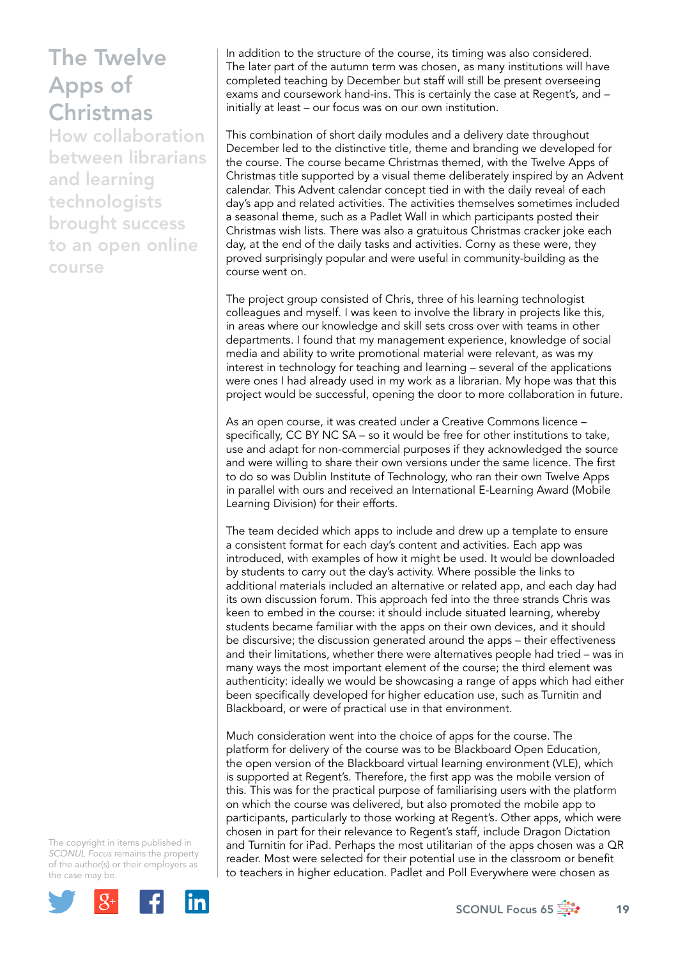How collaboration between librarians and learning technologists brought success to an open online course

In addition to the structure of the course, its timing was also considered. The later part of the autumn term was chosen, as many institutions will have completed teaching by December but staff will still be present overseeing exams and coursework hand-ins. This is certainly the case at Regent's, and – initially at least – our focus was on our own institution.

This combination of short daily modules and a delivery date throughout December led to the distinctive title, theme and branding we developed for the course. The course became Christmas themed, with the Twelve Apps of Christmas title supported by a visual theme deliberately inspired by an Advent calendar. This Advent calendar concept tied in with the daily reveal of each day's app and related activities. The activities themselves sometimes included a seasonal theme, such as a Padlet Wall in which participants posted their Christmas wish lists. There was also a gratuitous Christmas cracker joke each day, at the end of the daily tasks and activities. Corny as these were, they proved surprisingly popular and were useful in community-building as the course went on.

The project group consisted of Chris, three of his learning technologist colleagues and myself. I was keen to involve the library in projects like this, in areas where our knowledge and skill sets cross over with teams in other departments. I found that my management experience, knowledge of social media and ability to write promotional material were relevant, as was my interest in technology for teaching and learning – several of the applications were ones I had already used in my work as a librarian. My hope was that this project would be successful, opening the door to more collaboration in future.

As an open course, it was created under a Creative Commons licence – specifically, CC BY NC SA – so it would be free for other institutions to take, use and adapt for non-commercial purposes if they acknowledged the source and were willing to share their own versions under the same licence. The first to do so was Dublin Institute of Technology, who ran their own Twelve Apps in parallel with ours and received an International E-Learning Award (Mobile Learning Division) for their efforts.

The team decided which apps to include and drew up a template to ensure a consistent format for each day's content and activities. Each app was introduced, with examples of how it might be used. It would be downloaded by students to carry out the day's activity. Where possible the links to additional materials included an alternative or related app, and each day had its own discussion forum. This approach fed into the three strands Chris was keen to embed in the course: it should include situated learning, whereby students became familiar with the apps on their own devices, and it should be discursive; the discussion generated around the apps – their effectiveness and their limitations, whether there were alternatives people had tried – was in many ways the most important element of the course; the third element was authenticity: ideally we would be showcasing a range of apps which had either been specifically developed for higher education use, such as Turnitin and Blackboard, or were of practical use in that environment.

Much consideration went into the choice of apps for the course. The platform for delivery of the course was to be Blackboard Open Education, the open version of the Blackboard virtual learning environment (VLE), which is supported at Regent's. Therefore, the first app was the mobile version of this. This was for the practical purpose of familiarising users with the platform on which the course was delivered, but also promoted the mobile app to participants, particularly to those working at Regent's. Other apps, which were chosen in part for their relevance to Regent's staff, include Dragon Dictation and Turnitin for iPad. Perhaps the most utilitarian of the apps chosen was a QR reader. Most were selected for their potential use in the classroom or benefit to teachers in higher education. Padlet and Poll Everywhere were chosen as

The copyright in items published in *SCONUL Focus* remains the property of the author(s) or their employers as the case may be.

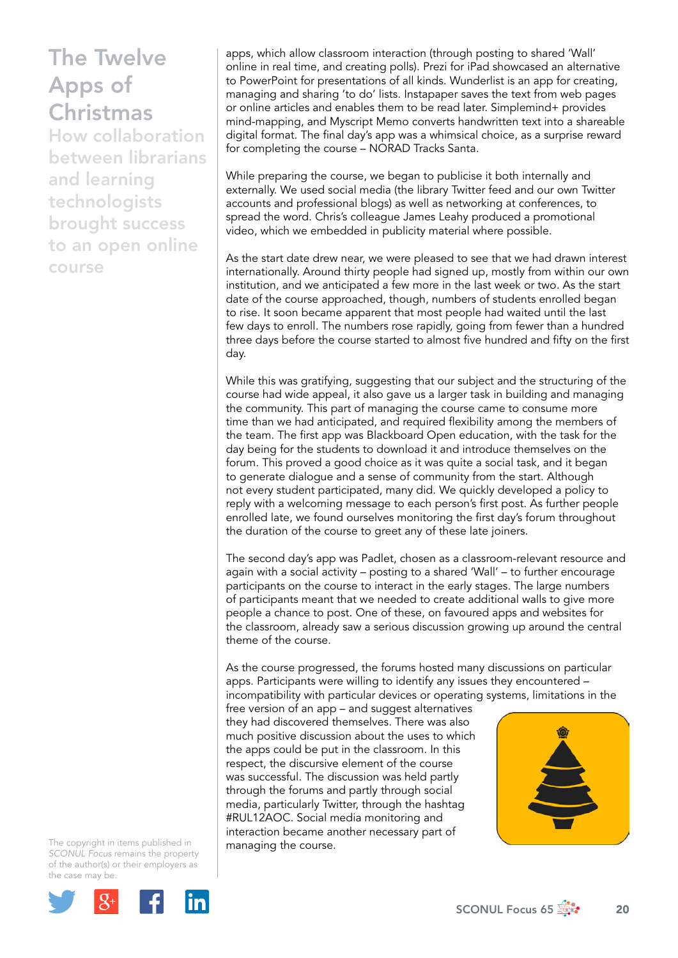How collaboration between librarians and learning technologists brought success to an open online course

apps, which allow classroom interaction (through posting to shared 'Wall' online in real time, and creating polls). Prezi for iPad showcased an alternative to PowerPoint for presentations of all kinds. Wunderlist is an app for creating, managing and sharing 'to do' lists. Instapaper saves the text from web pages or online articles and enables them to be read later. Simplemind+ provides mind-mapping, and Myscript Memo converts handwritten text into a shareable digital format. The final day's app was a whimsical choice, as a surprise reward for completing the course – NORAD Tracks Santa.

While preparing the course, we began to publicise it both internally and externally. We used social media (the library Twitter feed and our own Twitter accounts and professional blogs) as well as networking at conferences, to spread the word. Chris's colleague James Leahy produced a promotional video, which we embedded in publicity material where possible.

As the start date drew near, we were pleased to see that we had drawn interest internationally. Around thirty people had signed up, mostly from within our own institution, and we anticipated a few more in the last week or two. As the start date of the course approached, though, numbers of students enrolled began to rise. It soon became apparent that most people had waited until the last few days to enroll. The numbers rose rapidly, going from fewer than a hundred three days before the course started to almost five hundred and fifty on the first day.

While this was gratifying, suggesting that our subject and the structuring of the course had wide appeal, it also gave us a larger task in building and managing the community. This part of managing the course came to consume more time than we had anticipated, and required flexibility among the members of the team. The first app was Blackboard Open education, with the task for the day being for the students to download it and introduce themselves on the forum. This proved a good choice as it was quite a social task, and it began to generate dialogue and a sense of community from the start. Although not every student participated, many did. We quickly developed a policy to reply with a welcoming message to each person's first post. As further people enrolled late, we found ourselves monitoring the first day's forum throughout the duration of the course to greet any of these late joiners.

The second day's app was Padlet, chosen as a classroom-relevant resource and again with a social activity – posting to a shared 'Wall' – to further encourage participants on the course to interact in the early stages. The large numbers of participants meant that we needed to create additional walls to give more people a chance to post. One of these, on favoured apps and websites for the classroom, already saw a serious discussion growing up around the central theme of the course.

As the course progressed, the forums hosted many discussions on particular apps. Participants were willing to identify any issues they encountered – incompatibility with particular devices or operating systems, limitations in the

free version of an app – and suggest alternatives they had discovered themselves. There was also much positive discussion about the uses to which the apps could be put in the classroom. In this respect, the discursive element of the course was successful. The discussion was held partly through the forums and partly through social media, particularly Twitter, through the hashtag #RUL12AOC. Social media monitoring and interaction became another necessary part of managing the course.



The copyright in items published in *SCONUL Focus* remains the property of the author(s) or their employers as the case may be.



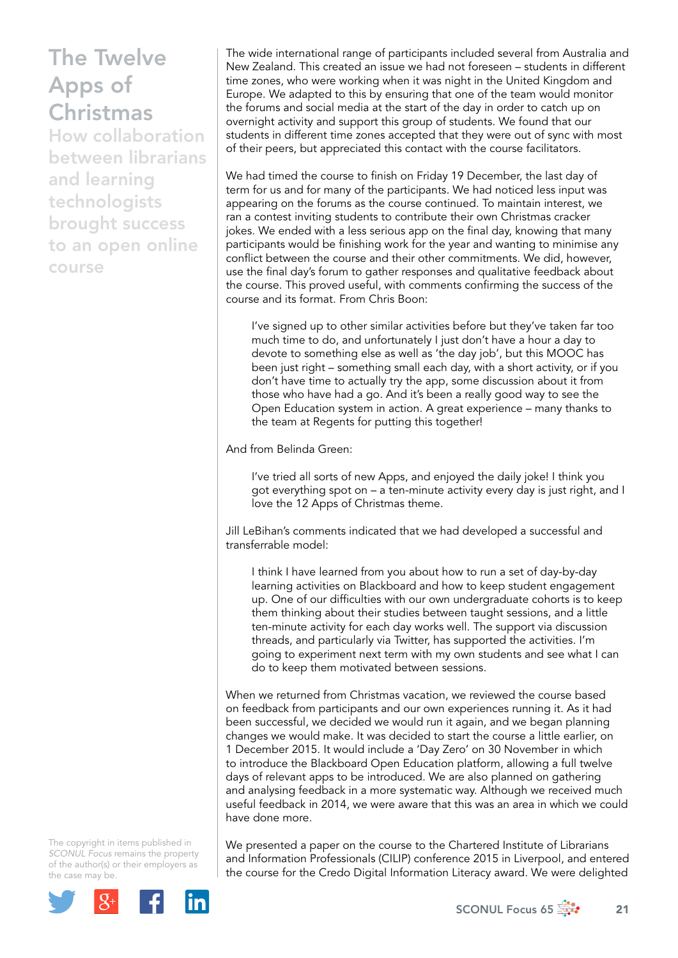How collaboration between librarians and learning technologists brought success to an open online course

The wide international range of participants included several from Australia and New Zealand. This created an issue we had not foreseen – students in different time zones, who were working when it was night in the United Kingdom and Europe. We adapted to this by ensuring that one of the team would monitor the forums and social media at the start of the day in order to catch up on overnight activity and support this group of students. We found that our students in different time zones accepted that they were out of sync with most of their peers, but appreciated this contact with the course facilitators.

We had timed the course to finish on Friday 19 December, the last day of term for us and for many of the participants. We had noticed less input was appearing on the forums as the course continued. To maintain interest, we ran a contest inviting students to contribute their own Christmas cracker jokes. We ended with a less serious app on the final day, knowing that many participants would be finishing work for the year and wanting to minimise any conflict between the course and their other commitments. We did, however, use the final day's forum to gather responses and qualitative feedback about the course. This proved useful, with comments confirming the success of the course and its format. From Chris Boon:

I've signed up to other similar activities before but they've taken far too much time to do, and unfortunately I just don't have a hour a day to devote to something else as well as 'the day job', but this MOOC has been just right – something small each day, with a short activity, or if you don't have time to actually try the app, some discussion about it from those who have had a go. And it's been a really good way to see the Open Education system in action. A great experience – many thanks to the team at Regents for putting this together!

And from Belinda Green:

I've tried all sorts of new Apps, and enjoyed the daily joke! I think you got everything spot on – a ten-minute activity every day is just right, and I love the 12 Apps of Christmas theme.

Jill LeBihan's comments indicated that we had developed a successful and transferrable model:

I think I have learned from you about how to run a set of day-by-day learning activities on Blackboard and how to keep student engagement up. One of our difficulties with our own undergraduate cohorts is to keep them thinking about their studies between taught sessions, and a little ten-minute activity for each day works well. The support via discussion threads, and particularly via Twitter, has supported the activities. I'm going to experiment next term with my own students and see what I can do to keep them motivated between sessions.

When we returned from Christmas vacation, we reviewed the course based on feedback from participants and our own experiences running it. As it had been successful, we decided we would run it again, and we began planning changes we would make. It was decided to start the course a little earlier, on 1 December 2015. It would include a 'Day Zero' on 30 November in which to introduce the Blackboard Open Education platform, allowing a full twelve days of relevant apps to be introduced. We are also planned on gathering and analysing feedback in a more systematic way. Although we received much useful feedback in 2014, we were aware that this was an area in which we could have done more.

The copyright in items published in *SCONUL Focus* remains the property of the author(s) or their employers as the case may be.



We presented a paper on the course to the Chartered Institute of Librarians and Information Professionals (CILIP) conference 2015 in Liverpool, and entered the course for the Credo Digital Information Literacy award. We were delighted